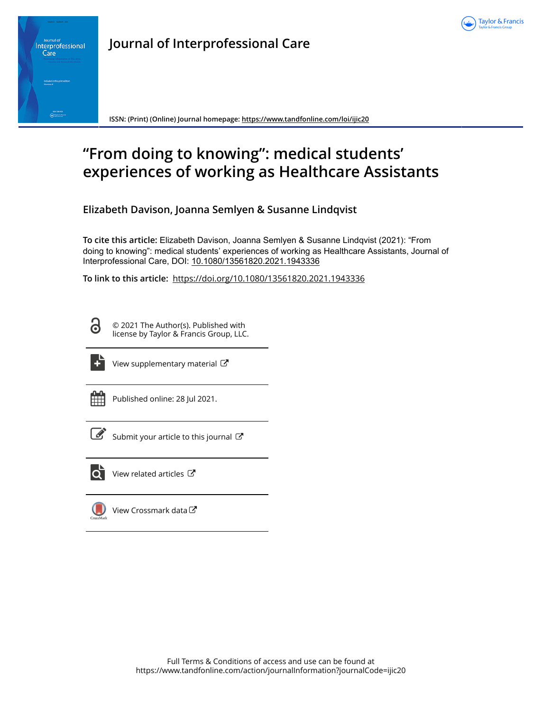



**Journal of Interprofessional Care**

**ISSN: (Print) (Online) Journal homepage:<https://www.tandfonline.com/loi/ijic20>**

# **"From doing to knowing": medical students' experiences of working as Healthcare Assistants**

**Elizabeth Davison, Joanna Semlyen & Susanne Lindqvist**

**To cite this article:** Elizabeth Davison, Joanna Semlyen & Susanne Lindqvist (2021): "From doing to knowing": medical students' experiences of working as Healthcare Assistants, Journal of Interprofessional Care, DOI: [10.1080/13561820.2021.1943336](https://www.tandfonline.com/action/showCitFormats?doi=10.1080/13561820.2021.1943336)

**To link to this article:** <https://doi.org/10.1080/13561820.2021.1943336>

ര

© 2021 The Author(s). Published with license by Taylor & Francis Group, LLC.



[View supplementary material](https://www.tandfonline.com/doi/suppl/10.1080/13561820.2021.1943336)  $\mathbb{Z}$ 

Published online: 28 Jul 2021.



 $\overrightarrow{S}$  [Submit your article to this journal](https://www.tandfonline.com/action/authorSubmission?journalCode=ijic20&show=instructions)  $\overrightarrow{S}$ 



 $\overline{Q}$  [View related articles](https://www.tandfonline.com/doi/mlt/10.1080/13561820.2021.1943336)  $\overline{C}$ 

[View Crossmark data](http://crossmark.crossref.org/dialog/?doi=10.1080/13561820.2021.1943336&domain=pdf&date_stamp=2021-07-28) $\mathbb{Z}$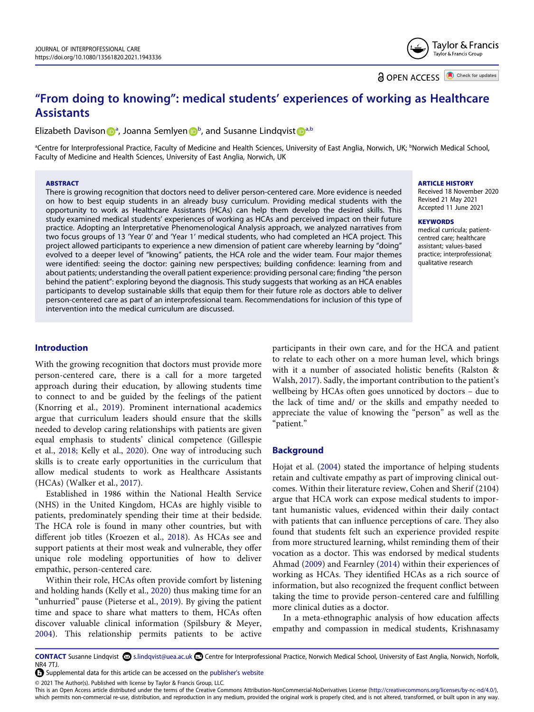Taylor & Francis Taylor & Francis Group

**a** OPEN ACCESS **a** Check for updates

## **"From doing to knowing": medical students' experiences of working as Healthcare Assistants**

Elizabeth Daviso[n](http://orcid.org/0000-0001-8636-3635) **D**<sup>[a](#page-1-0)</sup>, Joanna Semlyen D<sup>[b](#page-1-0)</sup>, and Susanne Lindqvist D<sup>[a,b](#page-1-0)</sup>

<span id="page-1-0"></span><sup>a</sup>Centre for Interprofessional Practice, Faculty of Medicine and Health Sciences, University of East Anglia, Norwich, UK; <sup>b</sup>Norwich Medical School, Faculty of Medicine and Health Sciences, University of East Anglia, Norwich, UK

#### **ABSTRACT**

There is growing recognition that doctors need to deliver person-centered care. More evidence is needed on how to best equip students in an already busy curriculum. Providing medical students with the opportunity to work as Healthcare Assistants (HCAs) can help them develop the desired skills. This study examined medical students' experiences of working as HCAs and perceived impact on their future practice. Adopting an Interpretative Phenomenological Analysis approach, we analyzed narratives from two focus groups of 13 'Year 0ʹ and 'Year 1ʹ medical students, who had completed an HCA project. This project allowed participants to experience a new dimension of patient care whereby learning by "doing" evolved to a deeper level of "knowing" patients, the HCA role and the wider team. Four major themes were identified: seeing the doctor: gaining new perspectives; building confidence: learning from and about patients; understanding the overall patient experience: providing personal care; finding "the person behind the patient": exploring beyond the diagnosis. This study suggests that working as an HCA enables participants to develop sustainable skills that equip them for their future role as doctors able to deliver person-centered care as part of an interprofessional team. Recommendations for inclusion of this type of intervention into the medical curriculum are discussed.

## **ARTICLE HISTORY**

Received 18 November 2020 Revised 21 May 2021 Accepted 11 June 2021

#### **KEYWORDS**

medical curricula; patientcentred care; healthcare assistant; values-based practice; interprofessional; qualitative research

## **Introduction**

<span id="page-1-5"></span>With the growing recognition that doctors must provide more person-centered care, there is a call for a more targeted approach during their education, by allowing students time to connect to and be guided by the feelings of the patient (Knorring et al., [2019](#page-7-0)). Prominent international academics argue that curriculum leaders should ensure that the skills needed to develop caring relationships with patients are given equal emphasis to students' clinical competence (Gillespie et al., [2018](#page-6-0); Kelly et al., [2020\)](#page-7-1). One way of introducing such skills is to create early opportunities in the curriculum that allow medical students to work as Healthcare Assistants (HCAs) (Walker et al., [2017\)](#page-7-2).

<span id="page-1-10"></span><span id="page-1-6"></span><span id="page-1-2"></span>Established in 1986 within the National Health Service (NHS) in the United Kingdom, HCAs are highly visible to patients, predominately spending their time at their bedside. The HCA role is found in many other countries, but with different job titles (Kroezen et al., [2018\)](#page-7-3). As HCAs see and support patients at their most weak and vulnerable, they offer unique role modeling opportunities of how to deliver empathic, person-centered care.

<span id="page-1-7"></span><span id="page-1-4"></span>Within their role, HCAs often provide comfort by listening and holding hands (Kelly et al., [2020](#page-7-1)) thus making time for an "unhurried" pause (Pieterse et al., [2019\)](#page-7-4). By giving the patient time and space to share what matters to them, HCAs often discover valuable clinical information (Spilsbury & Meyer, [2004](#page-7-5)). This relationship permits patients to be active <span id="page-1-8"></span>participants in their own care, and for the HCA and patient to relate to each other on a more human level, which brings with it a number of associated holistic benefits (Ralston & Walsh, [2017](#page-7-6)). Sadly, the important contribution to the patient's wellbeing by HCAs often goes unnoticed by doctors – due to the lack of time and/ or the skills and empathy needed to appreciate the value of knowing the "person" as well as the "patient."

#### **Background**

<span id="page-1-3"></span>Hojat et al. [\(2004\)](#page-7-7) stated the importance of helping students retain and cultivate empathy as part of improving clinical outcomes. Within their literature review, Cohen and Sherif (2104) argue that HCA work can expose medical students to important humanistic values, evidenced within their daily contact with patients that can influence perceptions of care. They also found that students felt such an experience provided respite from more structured learning, whilst reminding them of their vocation as a doctor. This was endorsed by medical students Ahmad [\(2009](#page-6-1)) and Fearnley [\(2014\)](#page-6-2) within their experiences of working as HCAs. They identified HCAs as a rich source of information, but also recognized the frequent conflict between taking the time to provide person-centered care and fulfilling more clinical duties as a doctor.

<span id="page-1-1"></span>In a meta-ethnographic analysis of how education affects empathy and compassion in medical students, Krishnasamy

© 2021 The Author(s). Published with license by Taylor & Francis Group, LLC.

This is an Open Access article distributed under the terms of the Creative Commons Attribution-NonCommercial-NoDerivatives License (http://creativecommons.org/licenses/by-nc-nd/4.0/), which permits non-commercial re-use, distribution, and reproduction in any medium, provided the original work is properly cited, and is not altered, transformed, or built upon in any way.

<span id="page-1-9"></span>CONTACT Susanne Lindqvist S.lindqvist@uea.ac.uk **C** Centre for Interprofessional Practice, Norwich Medical School, University of East Anglia, Norwich, Norfolk, NR4 7TJ.

Supplemental data for this article can be accessed on the [publisher's website](https://doi.org/10.1080/13561820.2021.1943336)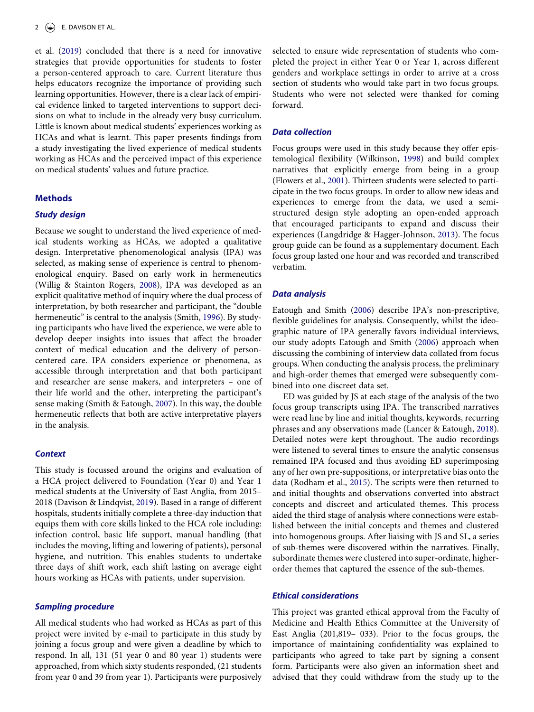<span id="page-2-3"></span>et al. [\(2019\)](#page-7-8) concluded that there is a need for innovative strategies that provide opportunities for students to foster a person-centered approach to care. Current literature thus helps educators recognize the importance of providing such learning opportunities. However, there is a clear lack of empirical evidence linked to targeted interventions to support decisions on what to include in the already very busy curriculum. Little is known about medical students' experiences working as HCAs and what is learnt. This paper presents findings from a study investigating the lived experience of medical students working as HCAs and the perceived impact of this experience on medical students' values and future practice.

## **Methods**

## *Study design*

<span id="page-2-10"></span><span id="page-2-7"></span>Because we sought to understand the lived experience of medical students working as HCAs, we adopted a qualitative design. Interpretative phenomenological analysis (IPA) was selected, as making sense of experience is central to phenomenological enquiry. Based on early work in hermeneutics (Willig & Stainton Rogers, [2008](#page-7-9)), IPA was developed as an explicit qualitative method of inquiry where the dual process of interpretation, by both researcher and participant, the "double hermeneutic" is central to the analysis (Smith, [1996\)](#page-7-10). By studying participants who have lived the experience, we were able to develop deeper insights into issues that affect the broader context of medical education and the delivery of personcentered care. IPA considers experience or phenomena, as accessible through interpretation and that both participant and researcher are sense makers, and interpreters – one of their life world and the other, interpreting the participant's sense making (Smith & Eatough, [2007\)](#page-7-11). In this way, the double hermeneutic reflects that both are active interpretative players in the analysis.

#### <span id="page-2-8"></span>*Context*

<span id="page-2-0"></span>This study is focussed around the origins and evaluation of a HCA project delivered to Foundation (Year 0) and Year 1 medical students at the University of East Anglia, from 2015– 2018 (Davison & Lindqvist, [2019\)](#page-6-3). Based in a range of different hospitals, students initially complete a three-day induction that equips them with core skills linked to the HCA role including: infection control, basic life support, manual handling (that includes the moving, lifting and lowering of patients), personal hygiene, and nutrition. This enables students to undertake three days of shift work, each shift lasting on average eight hours working as HCAs with patients, under supervision.

## *Sampling procedure*

All medical students who had worked as HCAs as part of this project were invited by e-mail to participate in this study by joining a focus group and were given a deadline by which to respond. In all, 131 (51 year 0 and 80 year 1) students were approached, from which sixty students responded, (21 students from year 0 and 39 from year 1). Participants were purposively selected to ensure wide representation of students who completed the project in either Year 0 or Year 1, across different genders and workplace settings in order to arrive at a cross section of students who would take part in two focus groups. Students who were not selected were thanked for coming forward.

#### *Data collection*

<span id="page-2-9"></span><span id="page-2-2"></span>Focus groups were used in this study because they offer epistemological flexibility (Wilkinson, [1998\)](#page-7-12) and build complex narratives that explicitly emerge from being in a group (Flowers et al., [2001\)](#page-6-4). Thirteen students were selected to participate in the two focus groups. In order to allow new ideas and experiences to emerge from the data, we used a semistructured design style adopting an open-ended approach that encouraged participants to expand and discuss their experiences (Langdridge & Hagger-Johnson, [2013](#page-7-13)). The focus group guide can be found as a supplementary document. Each focus group lasted one hour and was recorded and transcribed verbatim.

#### <span id="page-2-5"></span>*Data analysis*

<span id="page-2-1"></span>Eatough and Smith ([2006\)](#page-6-5) describe IPA's non-prescriptive, flexible guidelines for analysis. Consequently, whilst the ideographic nature of IPA generally favors individual interviews, our study adopts Eatough and Smith [\(2006](#page-6-5)) approach when discussing the combining of interview data collated from focus groups. When conducting the analysis process, the preliminary and high-order themes that emerged were subsequently combined into one discreet data set.

<span id="page-2-6"></span><span id="page-2-4"></span>ED was guided by JS at each stage of the analysis of the two focus group transcripts using IPA. The transcribed narratives were read line by line and initial thoughts, keywords, recurring phrases and any observations made (Lancer & Eatough, [2018](#page-7-14)). Detailed notes were kept throughout. The audio recordings were listened to several times to ensure the analytic consensus remained IPA focused and thus avoiding ED superimposing any of her own pre-suppositions, or interpretative bias onto the data (Rodham et al., [2015](#page-7-15)). The scripts were then returned to and initial thoughts and observations converted into abstract concepts and discreet and articulated themes. This process aided the third stage of analysis where connections were established between the initial concepts and themes and clustered into homogenous groups. After liaising with JS and SL, a series of sub-themes were discovered within the narratives. Finally, subordinate themes were clustered into super-ordinate, higherorder themes that captured the essence of the sub-themes.

## *Ethical considerations*

This project was granted ethical approval from the Faculty of Medicine and Health Ethics Committee at the University of East Anglia (201,819– 033). Prior to the focus groups, the importance of maintaining confidentiality was explained to participants who agreed to take part by signing a consent form. Participants were also given an information sheet and advised that they could withdraw from the study up to the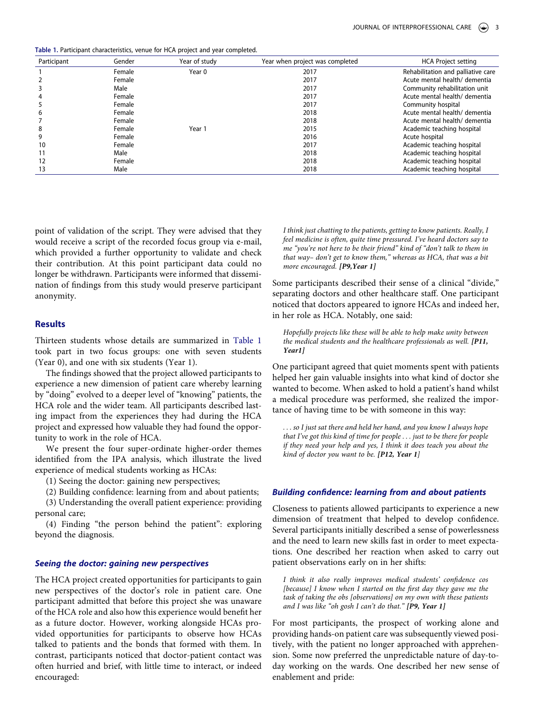<span id="page-3-0"></span>**Table 1.** Participant characteristics, venue for HCA project and year completed.

| Participant | Gender | Year of study | Year when project was completed | <b>HCA Project setting</b>         |
|-------------|--------|---------------|---------------------------------|------------------------------------|
|             | Female | Year 0        | 2017                            | Rehabilitation and palliative care |
|             | Female |               | 2017                            | Acute mental health/ dementia      |
|             | Male   |               | 2017                            | Community rehabilitation unit      |
| 4           | Female |               | 2017                            | Acute mental health/ dementia      |
| 5           | Female |               | 2017                            | Community hospital                 |
| 6           | Female |               | 2018                            | Acute mental health/ dementia      |
|             | Female |               | 2018                            | Acute mental health/ dementia      |
| 8           | Female | Year 1        | 2015                            | Academic teaching hospital         |
| 9           | Female |               | 2016                            | Acute hospital                     |
| 10          | Female |               | 2017                            | Academic teaching hospital         |
| 11          | Male   |               | 2018                            | Academic teaching hospital         |
| 12          | Female |               | 2018                            | Academic teaching hospital         |
| 13          | Male   |               | 2018                            | Academic teaching hospital         |

point of validation of the script. They were advised that they would receive a script of the recorded focus group via e-mail, which provided a further opportunity to validate and check their contribution. At this point participant data could no longer be withdrawn. Participants were informed that dissemination of findings from this study would preserve participant anonymity.

## **Results**

Thirteen students whose details are summarized in [Table 1](#page-3-0)  took part in two focus groups: one with seven students (Year 0), and one with six students (Year 1).

The findings showed that the project allowed participants to experience a new dimension of patient care whereby learning by "doing" evolved to a deeper level of "knowing" patients, the HCA role and the wider team. All participants described lasting impact from the experiences they had during the HCA project and expressed how valuable they had found the opportunity to work in the role of HCA.

We present the four super-ordinate higher-order themes identified from the IPA analysis, which illustrate the lived experience of medical students working as HCAs:

(1) Seeing the doctor: gaining new perspectives;

(2) Building confidence: learning from and about patients;

(3) Understanding the overall patient experience: providing personal care;

(4) Finding "the person behind the patient": exploring beyond the diagnosis.

## *Seeing the doctor: gaining new perspectives*

The HCA project created opportunities for participants to gain new perspectives of the doctor's role in patient care. One participant admitted that before this project she was unaware of the HCA role and also how this experience would benefit her as a future doctor. However, working alongside HCAs provided opportunities for participants to observe how HCAs talked to patients and the bonds that formed with them. In contrast, participants noticed that doctor-patient contact was often hurried and brief, with little time to interact, or indeed encouraged:

*I think just chatting to the patients, getting to know patients. Really, I feel medicine is often, quite time pressured. I've heard doctors say to me "you're not here to be their friend" kind of "don't talk to them in that way– don't get to know them," whereas as HCA, that was a bit more encouraged. [P9,Year 1]*

Some participants described their sense of a clinical "divide," separating doctors and other healthcare staff. One participant noticed that doctors appeared to ignore HCAs and indeed her, in her role as HCA. Notably, one said:

*Hopefully projects like these will be able to help make unity between the medical students and the healthcare professionals as well. [P11, Year1]*

One participant agreed that quiet moments spent with patients helped her gain valuable insights into what kind of doctor she wanted to become. When asked to hold a patient's hand whilst a medical procedure was performed, she realized the importance of having time to be with someone in this way:

*. . . so I just sat there and held her hand, and you know I always hope that I've got this kind of time for people . . . just to be there for people if they need your help and yes, I think it does teach you about the kind of doctor you want to be. [P12, Year 1]*

## *Building confidence: learning from and about patients*

Closeness to patients allowed participants to experience a new dimension of treatment that helped to develop confidence. Several participants initially described a sense of powerlessness and the need to learn new skills fast in order to meet expectations. One described her reaction when asked to carry out patient observations early on in her shifts:

*I think it also really improves medical students' confidence cos [because] I know when I started on the first day they gave me the task of taking the obs [observations] on my own with these patients and I was like "oh gosh I can't do that." [P9, Year 1]*

For most participants, the prospect of working alone and providing hands-on patient care was subsequently viewed positively, with the patient no longer approached with apprehension. Some now preferred the unpredictable nature of day-today working on the wards. One described her new sense of enablement and pride: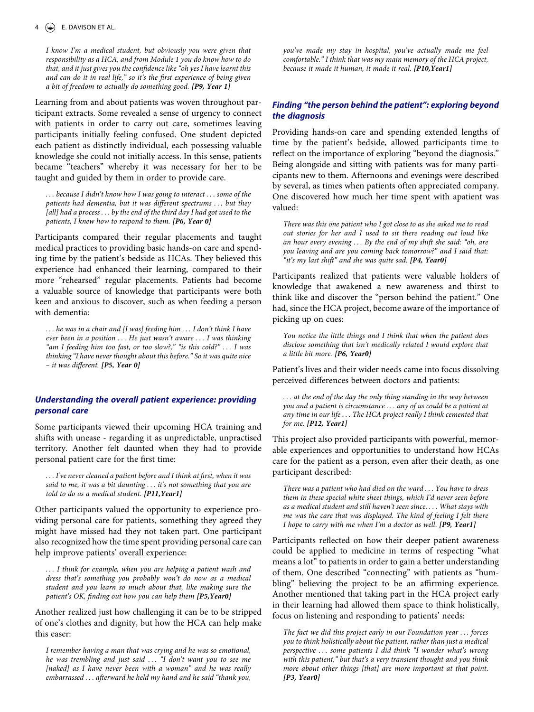*I know I'm a medical student, but obviously you were given that responsibility as a HCA, and from Module 1 you do know how to do that, and it just gives you the confidence like "oh yes I have learnt this and can do it in real life," so it's the first experience of being given a bit of freedom to actually do something good. [P9, Year 1]*

Learning from and about patients was woven throughout participant extracts. Some revealed a sense of urgency to connect with patients in order to carry out care, sometimes leaving participants initially feeling confused. One student depicted each patient as distinctly individual, each possessing valuable knowledge she could not initially access. In this sense, patients became "teachers" whereby it was necessary for her to be taught and guided by them in order to provide care.

*. . . because I didn't know how I was going to interact . . . some of the patients had dementia, but it was different spectrums . . . but they [all] had a process . . . by the end of the third day I had got used to the patients, I knew how to respond to them. [P6, Year 0]*

Participants compared their regular placements and taught medical practices to providing basic hands-on care and spending time by the patient's bedside as HCAs. They believed this experience had enhanced their learning, compared to their more "rehearsed" regular placements. Patients had become a valuable source of knowledge that participants were both keen and anxious to discover, such as when feeding a person with dementia:

*. . . he was in a chair and [I was] feeding him . . . I don't think I have ever been in a position . . . He just wasn't aware . . . I was thinking "am I feeding him too fast, or too slow?," "is this cold?" . . . I was thinking "I have never thought about this before." So it was quite nice – it was different. [P5, Year 0]*

## *Understanding the overall patient experience: providing personal care*

Some participants viewed their upcoming HCA training and shifts with unease - regarding it as unpredictable, unpractised territory. Another felt daunted when they had to provide personal patient care for the first time:

*. . . I've never cleaned a patient before and I think at first, when it was said to me, it was a bit daunting . . . it's not something that you are told to do as a medical student*. *[P11,Year1]*

Other participants valued the opportunity to experience providing personal care for patients, something they agreed they might have missed had they not taken part. One participant also recognized how the time spent providing personal care can help improve patients' overall experience:

*. . . I think for example, when you are helping a patient wash and dress that's something you probably won't do now as a medical student and you learn so much about that, like making sure the patient's OK, finding out how you can help them [P5,Year0]*

Another realized just how challenging it can be to be stripped of one's clothes and dignity, but how the HCA can help make this easer:

*I remember having a man that was crying and he was so emotional, he was trembling and just said . . . "I don't want you to see me*  [naked] as I have never been with a woman" and he was really *embarrassed . . . afterward he held my hand and he said "thank you,* 

*you've made my stay in hospital, you've actually made me feel comfortable." I think that was my main memory of the HCA project, because it made it human, it made it real. [P10,Year1]*

## *Finding "the person behind the patient": exploring beyond the diagnosis*

Providing hands-on care and spending extended lengths of time by the patient's bedside, allowed participants time to reflect on the importance of exploring "beyond the diagnosis." Being alongside and sitting with patients was for many participants new to them. Afternoons and evenings were described by several, as times when patients often appreciated company. One discovered how much her time spent with apatient was valued:

*There was this one patient who I got close to as she asked me to read out stories for her and I used to sit there reading out loud like an hour every evening . . . By the end of my shift she said: "oh, are you leaving and are you coming back tomorrow?" and I said that: "it's my last shift" and she was quite sad*. *[P4, Year0]*

Participants realized that patients were valuable holders of knowledge that awakened a new awareness and thirst to think like and discover the "person behind the patient." One had, since the HCA project, become aware of the importance of picking up on cues:

*You notice the little things and I think that when the patient does disclose something that isn't medically related I would explore that a little bit more. [P6, Year0]*

Patient's lives and their wider needs came into focus dissolving perceived differences between doctors and patients:

*. . . at the end of the day the only thing standing in the way between you and a patient is circumstance . . . any of us could be a patient at any time in our life . . . The HCA project really I think cemented that for me*. *[P12, Year1]*

This project also provided participants with powerful, memorable experiences and opportunities to understand how HCAs care for the patient as a person, even after their death, as one participant described:

*There was a patient who had died on the ward . . . You have to dress them in these special white sheet things, which I'd never seen before as a medical student and still haven't seen since. . . . What stays with me was the care that was displayed. The kind of feeling I felt there I hope to carry with me when I'm a doctor as well*. *[P9, Year1]*

Participants reflected on how their deeper patient awareness could be applied to medicine in terms of respecting "what means a lot" to patients in order to gain a better understanding of them. One described "connecting" with patients as "humbling" believing the project to be an affirming experience. Another mentioned that taking part in the HCA project early in their learning had allowed them space to think holistically, focus on listening and responding to patients' needs:

*The fact we did this project early in our Foundation year . . . forces you to think holistically about the patient, rather than just a medical perspective . . . some patients I did think "I wonder what's wrong with this patient," but that's a very transient thought and you think more about other things [that] are more important at that point*. *[P3, Year0]*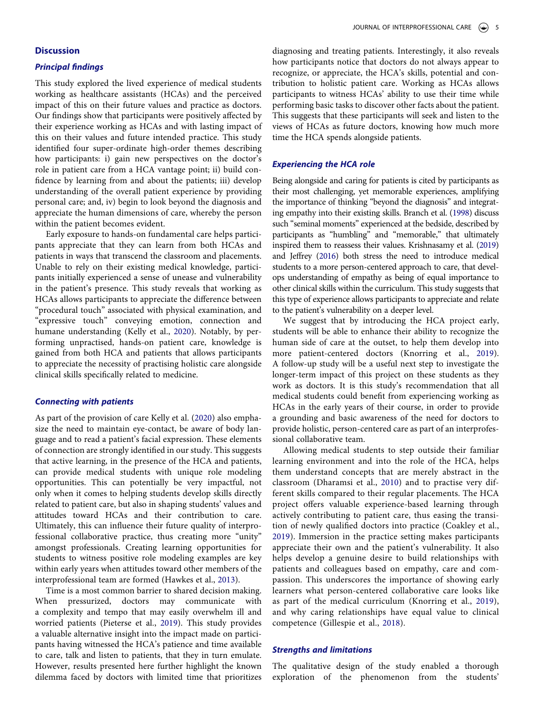## **Discussion**

## *Principal findings*

This study explored the lived experience of medical students working as healthcare assistants (HCAs) and the perceived impact of this on their future values and practice as doctors. Our findings show that participants were positively affected by their experience working as HCAs and with lasting impact of this on their values and future intended practice. This study identified four super-ordinate high-order themes describing how participants: i) gain new perspectives on the doctor's role in patient care from a HCA vantage point; ii) build confidence by learning from and about the patients; iii) develop understanding of the overall patient experience by providing personal care; and, iv) begin to look beyond the diagnosis and appreciate the human dimensions of care, whereby the person within the patient becomes evident.

Early exposure to hands-on fundamental care helps participants appreciate that they can learn from both HCAs and patients in ways that transcend the classroom and placements. Unable to rely on their existing medical knowledge, participants initially experienced a sense of unease and vulnerability in the patient's presence. This study reveals that working as HCAs allows participants to appreciate the difference between "procedural touch" associated with physical examination, and "expressive touch" conveying emotion, connection and humane understanding (Kelly et al., [2020\)](#page-7-1). Notably, by performing unpractised, hands-on patient care, knowledge is gained from both HCA and patients that allows participants to appreciate the necessity of practising holistic care alongside clinical skills specifically related to medicine.

## *Connecting with patients*

As part of the provision of care Kelly et al. [\(2020\)](#page-7-1) also emphasize the need to maintain eye-contact, be aware of body language and to read a patient's facial expression. These elements of connection are strongly identified in our study. This suggests that active learning, in the presence of the HCA and patients, can provide medical students with unique role modeling opportunities. This can potentially be very impactful, not only when it comes to helping students develop skills directly related to patient care, but also in shaping students' values and attitudes toward HCAs and their contribution to care. Ultimately, this can influence their future quality of interprofessional collaborative practice, thus creating more "unity" amongst professionals. Creating learning opportunities for students to witness positive role modeling examples are key within early years when attitudes toward other members of the interprofessional team are formed (Hawkes et al., [2013](#page-7-16)).

<span id="page-5-3"></span>Time is a most common barrier to shared decision making. When pressurized, doctors may communicate with a complexity and tempo that may easily overwhelm ill and worried patients (Pieterse et al., [2019\)](#page-7-4). This study provides a valuable alternative insight into the impact made on participants having witnessed the HCA's patience and time available to care, talk and listen to patients, that they in turn emulate. However, results presented here further highlight the known dilemma faced by doctors with limited time that prioritizes

diagnosing and treating patients. Interestingly, it also reveals how participants notice that doctors do not always appear to recognize, or appreciate, the HCA's skills, potential and contribution to holistic patient care. Working as HCAs allows participants to witness HCAs' ability to use their time while performing basic tasks to discover other facts about the patient. This suggests that these participants will seek and listen to the views of HCAs as future doctors, knowing how much more time the HCA spends alongside patients.

#### *Experiencing the HCA role*

<span id="page-5-0"></span>Being alongside and caring for patients is cited by participants as their most challenging, yet memorable experiences, amplifying the importance of thinking "beyond the diagnosis" and integrating empathy into their existing skills. Branch et al. [\(1998\)](#page-6-6) discuss such "seminal moments" experienced at the bedside, described by participants as "humbling" and "memorable," that ultimately inspired them to reassess their values. Krishnasamy et al. [\(2019\)](#page-7-8) and Jeffrey [\(2016](#page-7-17)) both stress the need to introduce medical students to a more person-centered approach to care, that develops understanding of empathy as being of equal importance to other clinical skills within the curriculum. This study suggests that this type of experience allows participants to appreciate and relate to the patient's vulnerability on a deeper level.

<span id="page-5-4"></span>We suggest that by introducing the HCA project early, students will be able to enhance their ability to recognize the human side of care at the outset, to help them develop into more patient-centered doctors (Knorring et al., [2019](#page-7-0)). A follow-up study will be a useful next step to investigate the longer-term impact of this project on these students as they work as doctors. It is this study's recommendation that all medical students could benefit from experiencing working as HCAs in the early years of their course, in order to provide a grounding and basic awareness of the need for doctors to provide holistic, person-centered care as part of an interprofessional collaborative team.

<span id="page-5-2"></span><span id="page-5-1"></span>Allowing medical students to step outside their familiar learning environment and into the role of the HCA, helps them understand concepts that are merely abstract in the classroom (Dharamsi et al., [2010](#page-6-7)) and to practise very different skills compared to their regular placements. The HCA project offers valuable experience-based learning through actively contributing to patient care, thus easing the transition of newly qualified doctors into practice (Coakley et al., [2019\)](#page-6-8). Immersion in the practice setting makes participants appreciate their own and the patient's vulnerability. It also helps develop a genuine desire to build relationships with patients and colleagues based on empathy, care and compassion. This underscores the importance of showing early learners what person-centered collaborative care looks like as part of the medical curriculum (Knorring et al., [2019](#page-7-0)), and why caring relationships have equal value to clinical competence (Gillespie et al., [2018](#page-6-0)).

## *Strengths and limitations*

The qualitative design of the study enabled a thorough exploration of the phenomenon from the students'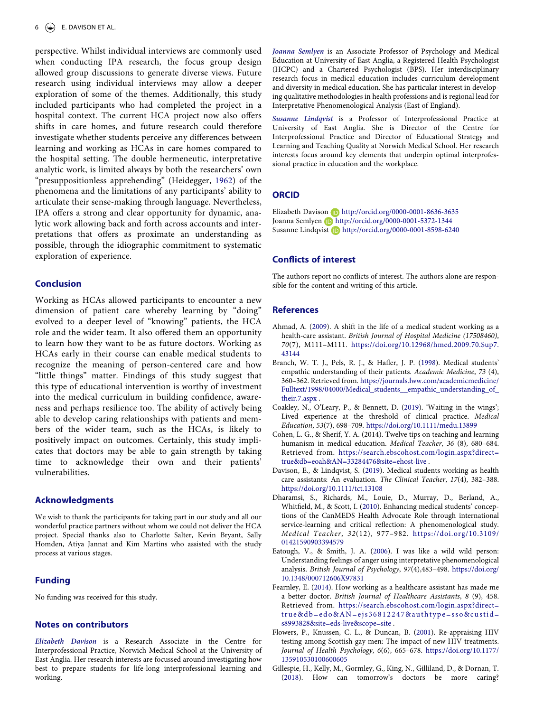perspective. Whilst individual interviews are commonly used when conducting IPA research, the focus group design allowed group discussions to generate diverse views. Future research using individual interviews may allow a deeper exploration of some of the themes. Additionally, this study included participants who had completed the project in a hospital context. The current HCA project now also offers shifts in care homes, and future research could therefore investigate whether students perceive any differences between learning and working as HCAs in care homes compared to the hospital setting. The double hermeneutic, interpretative analytic work, is limited always by both the researchers' own "presuppositionless apprehending" (Heidegger, [1962\)](#page-7-18) of the phenomena and the limitations of any participants' ability to articulate their sense-making through language. Nevertheless, IPA offers a strong and clear opportunity for dynamic, analytic work allowing back and forth across accounts and interpretations that offers as proximate an understanding as possible, through the idiographic commitment to systematic exploration of experience.

## <span id="page-6-9"></span>**Conclusion**

Working as HCAs allowed participants to encounter a new dimension of patient care whereby learning by "doing" evolved to a deeper level of "knowing" patients, the HCA role and the wider team. It also offered them an opportunity to learn how they want to be as future doctors. Working as HCAs early in their course can enable medical students to recognize the meaning of person-centered care and how "little things" matter. Findings of this study suggest that this type of educational intervention is worthy of investment into the medical curriculum in building confidence, awareness and perhaps resilience too. The ability of actively being able to develop caring relationships with patients and members of the wider team, such as the HCAs, is likely to positively impact on outcomes. Certainly, this study implicates that doctors may be able to gain strength by taking time to acknowledge their own and their patients' vulnerabilities.

## **Acknowledgments**

We wish to thank the participants for taking part in our study and all our wonderful practice partners without whom we could not deliver the HCA project. Special thanks also to Charlotte Salter, Kevin Bryant, Sally Homden, Atiya Jannat and Kim Martins who assisted with the study process at various stages.

#### **Funding**

No funding was received for this study.

## **Notes on contributors**

*Elizabeth Davison* is a Research Associate in the Centre for Interprofessional Practice, Norwich Medical School at the University of East Anglia. Her research interests are focussed around investigating how best to prepare students for life-long interprofessional learning and working.

*Joanna Semlyen* is an Associate Professor of Psychology and Medical Education at University of East Anglia, a Registered Health Psychologist (HCPC) and a Chartered Psychologist (BPS). Her interdisciplinary research focus in medical education includes curriculum development and diversity in medical education. She has particular interest in developing qualitative methodologies in health professions and is regional lead for Interpretative Phenomenological Analysis (East of England).

*Susanne Lindqvist* is a Professor of Interprofessional Practice at University of East Anglia. She is Director of the Centre for Interprofessional Practice and Director of Educational Strategy and Learning and Teaching Quality at Norwich Medical School. Her research interests focus around key elements that underpin optimal interprofessional practice in education and the workplace.

## **ORCID**

Elizabeth Davison D http://orcid.org/0000-0001-8636-3635 Joanna Semlyen http://orcid.org/0000-0001-5372-1344 Susanne Lindqvist **http://orcid.org/0000-0001-8598-6240** 

## **Conflicts of interest**

The authors report no conflicts of interest. The authors alone are responsible for the content and writing of this article.

## **References**

- <span id="page-6-1"></span>Ahmad, A. [\(2009\)](#page-1-1). A shift in the life of a medical student working as a health-care assistant. *British Journal of Hospital Medicine (17508460)*, *70*(7), M111–M111. [https://doi.org/10.12968/hmed.2009.70.Sup7.](https://doi.org/10.12968/hmed.2009.70.Sup7.43144) [43144](https://doi.org/10.12968/hmed.2009.70.Sup7.43144)
- <span id="page-6-6"></span>Branch, W. T. J., Pels, R. J., & Hafler, J. P. [\(1998\)](#page-5-0). Medical students' empathic understanding of their patients. *Academic Medicine*, *73* (4), 360–362. Retrieved from. [https://journals.lww.com/academicmedicine/](https://journals.lww.com/academicmedicine/Fulltext/1998/04000/Medical_students__empathic_understanding_of_their.7.aspx)  [Fulltext/1998/04000/Medical\\_students\\_\\_empathic\\_understanding\\_of\\_](https://journals.lww.com/academicmedicine/Fulltext/1998/04000/Medical_students__empathic_understanding_of_their.7.aspx) [their.7.aspx](https://journals.lww.com/academicmedicine/Fulltext/1998/04000/Medical_students__empathic_understanding_of_their.7.aspx) .
- <span id="page-6-8"></span>Coakley, N., O'Leary, P., & Bennett, D. ([2019\)](#page-5-1). 'Waiting in the wings'; Lived experience at the threshold of clinical practice. *Medical Education*, *53*(7), 698–709. <https://doi.org/10.1111/medu.13899>
- Cohen, L. G., & Sherif, Y. A. (2014). Twelve tips on teaching and learning humanism in medical education. *Medical Teacher*, *36* (8), 680–684. Retrieved from. [https://search.ebscohost.com/login.aspx?direct=](https://search.ebscohost.com/login.aspx?direct=true%26db=eoah%26AN=33284476%26site=ehost-live) [true&db=eoah&AN=33284476&site=ehost-live](https://search.ebscohost.com/login.aspx?direct=true%26db=eoah%26AN=33284476%26site=ehost-live) .
- <span id="page-6-3"></span>Davison, E., & Lindqvist, S. [\(2019](#page-2-0)). Medical students working as health care assistants: An evaluation. *The Clinical Teacher*, *17*(4), 382–388. <https://doi.org/10.1111/tct.13108>
- <span id="page-6-7"></span>Dharamsi, S., Richards, M., Louie, D., Murray, D., Berland, A., Whitfield, M., & Scott, I. [\(2010](#page-5-2)). Enhancing medical students' conceptions of the CanMEDS Health Advocate Role through international service-learning and critical reflection: A phenomenological study. *Medical Teacher*, *32*(12), 977–982. [https://doi.org/10.3109/](https://doi.org/10.3109/01421590903394579)  [01421590903394579](https://doi.org/10.3109/01421590903394579)
- <span id="page-6-5"></span>Eatough, V., & Smith, J. A. [\(2006](#page-2-1)). I was like a wild wild person: Understanding feelings of anger using interpretative phenomenological analysis. *British Journal of Psychology*, *97*(4),483–498. [https://doi.org/](https://doi.org/10.1348/000712606X97831)  [10.1348/000712606X97831](https://doi.org/10.1348/000712606X97831)
- <span id="page-6-2"></span>Fearnley, E. [\(2014\)](#page-1-1). How working as a healthcare assistant has made me a better doctor. *British Journal of Healthcare Assistants*, *8* (9), 458. Retrieved from. [https://search.ebscohost.com/login.aspx?direct=](https://search.ebscohost.com/login.aspx?direct=true%26db=edo%26AN=ejs36812247%26authtype=sso%26custid=s8993828%26site=eds-live%26scope=site) [true&db=edo&AN=ejs36812247&authtype=sso&custid=](https://search.ebscohost.com/login.aspx?direct=true%26db=edo%26AN=ejs36812247%26authtype=sso%26custid=s8993828%26site=eds-live%26scope=site) [s8993828&site=eds-live&scope=site](https://search.ebscohost.com/login.aspx?direct=true%26db=edo%26AN=ejs36812247%26authtype=sso%26custid=s8993828%26site=eds-live%26scope=site) .
- <span id="page-6-4"></span>Flowers, P., Knussen, C. L., & Duncan, B. [\(2001](#page-2-2)). Re-appraising HIV testing among Scottish gay men: The impact of new HIV treatments. *Journal of Health Psychology*, *6*(6), 665–678. [https://doi.org/10.1177/](https://doi.org/10.1177/135910530100600605) [135910530100600605](https://doi.org/10.1177/135910530100600605)
- <span id="page-6-0"></span>Gillespie, H., Kelly, M., Gormley, G., King, N., Gilliland, D., & Dornan, T. ([2018](#page-1-2)). How can tomorrow's doctors be more caring?